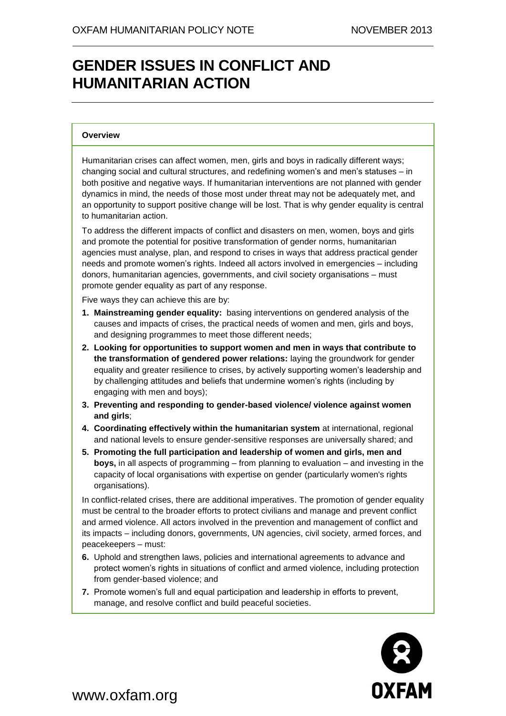## **GENDER ISSUES IN CONFLICT AND HUMANITARIAN ACTION**

#### **Overview**

Humanitarian crises can affect women, men, girls and boys in radically different ways; changing social and cultural structures, and redefining women's and men's statuses – in both positive and negative ways. If humanitarian interventions are not planned with gender dynamics in mind, the needs of those most under threat may not be adequately met, and an opportunity to support positive change will be lost. That is why gender equality is central to humanitarian action.

To address the different impacts of conflict and disasters on men, women, boys and girls and promote the potential for positive transformation of gender norms, humanitarian agencies must analyse, plan, and respond to crises in ways that address practical gender needs and promote women's rights. Indeed all actors involved in emergencies – including donors, humanitarian agencies, governments, and civil society organisations – must promote gender equality as part of any response.

Five ways they can achieve this are by:

- **1. Mainstreaming gender equality:** basing interventions on gendered analysis of the causes and impacts of crises, the practical needs of women and men, girls and boys, and designing programmes to meet those different needs;
- **2. Looking for opportunities to support women and men in ways that contribute to the transformation of gendered power relations:** laying the groundwork for gender equality and greater resilience to crises, by actively supporting women's leadership and by challenging attitudes and beliefs that undermine women's rights (including by engaging with men and boys);
- **3. Preventing and responding to gender-based violence/ violence against women and girls**;
- **4. Coordinating effectively within the humanitarian system** at international, regional and national levels to ensure gender-sensitive responses are universally shared; and
- **5. Promoting the full participation and leadership of women and girls, men and boys,** in all aspects of programming – from planning to evaluation – and investing in the capacity of local organisations with expertise on gender (particularly women's rights organisations).

In conflict-related crises, there are additional imperatives. The promotion of gender equality must be central to the broader efforts to protect civilians and manage and prevent conflict and armed violence. All actors involved in the prevention and management of conflict and its impacts – including donors, governments, UN agencies, civil society, armed forces, and peacekeepers – must:

- **6.** Uphold and strengthen laws, policies and international agreements to advance and protect women's rights in situations of conflict and armed violence, including protection from gender-based violence; and
- **7.** Promote women's full and equal participation and leadership in efforts to prevent, manage, and resolve conflict and build peaceful societies.



www.oxfam.org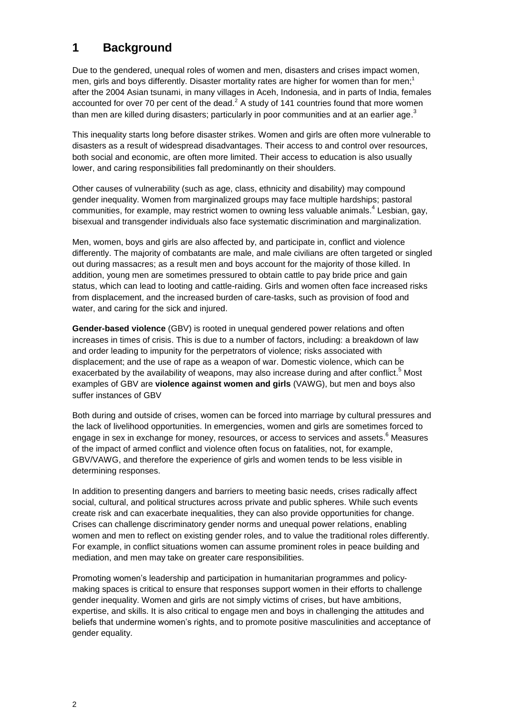## **1 Background**

Due to the gendered, unequal roles of women and men, disasters and crises impact women, men, girls and boys differently. Disaster mortality rates are higher for women than for men;<sup>1</sup> after the 2004 Asian tsunami, in many villages in Aceh, Indonesia, and in parts of India, females accounted for over 70 per cent of the dead. $<sup>2</sup>$  A study of 141 countries found that more women</sup> than men are killed during disasters; particularly in poor communities and at an earlier age.<sup>3</sup>

This inequality starts long before disaster strikes. Women and girls are often more vulnerable to disasters as a result of widespread disadvantages. Their access to and control over resources, both social and economic, are often more limited. Their access to education is also usually lower, and caring responsibilities fall predominantly on their shoulders.

Other causes of vulnerability (such as age, class, ethnicity and disability) may compound gender inequality. Women from marginalized groups may face multiple hardships; pastoral communities, for example, may restrict women to owning less valuable animals.<sup>4</sup> Lesbian, gay, bisexual and transgender individuals also face systematic discrimination and marginalization.

Men, women, boys and girls are also affected by, and participate in, conflict and violence differently. The majority of combatants are male, and male civilians are often targeted or singled out during massacres; as a result men and boys account for the majority of those killed. In addition, young men are sometimes pressured to obtain cattle to pay bride price and gain status, which can lead to looting and cattle-raiding. Girls and women often face increased risks from displacement, and the increased burden of care-tasks, such as provision of food and water, and caring for the sick and injured.

**Gender-based violence** (GBV) is rooted in unequal gendered power relations and often increases in times of crisis. This is due to a number of factors, including: a breakdown of law and order leading to impunity for the perpetrators of violence; risks associated with displacement; and the use of rape as a weapon of war. Domestic violence, which can be exacerbated by the availability of weapons, may also increase during and after conflict.<sup>5</sup> Most examples of GBV are **violence against women and girls** (VAWG), but men and boys also suffer instances of GBV

Both during and outside of crises, women can be forced into marriage by cultural pressures and the lack of livelihood opportunities. In emergencies, women and girls are sometimes forced to engage in sex in exchange for money, resources, or access to services and assets.<sup>6</sup> Measures of the impact of armed conflict and violence often focus on fatalities, not, for example, GBV/VAWG, and therefore the experience of girls and women tends to be less visible in determining responses.

In addition to presenting dangers and barriers to meeting basic needs, crises radically affect social, cultural, and political structures across private and public spheres. While such events create risk and can exacerbate inequalities, they can also provide opportunities for change. Crises can challenge discriminatory gender norms and unequal power relations, enabling women and men to reflect on existing gender roles, and to value the traditional roles differently. For example, in conflict situations women can assume prominent roles in peace building and mediation, and men may take on greater care responsibilities.

Promoting women's leadership and participation in humanitarian programmes and policymaking spaces is critical to ensure that responses support women in their efforts to challenge gender inequality. Women and girls are not simply victims of crises, but have ambitions, expertise, and skills. It is also critical to engage men and boys in challenging the attitudes and beliefs that undermine women's rights, and to promote positive masculinities and acceptance of gender equality.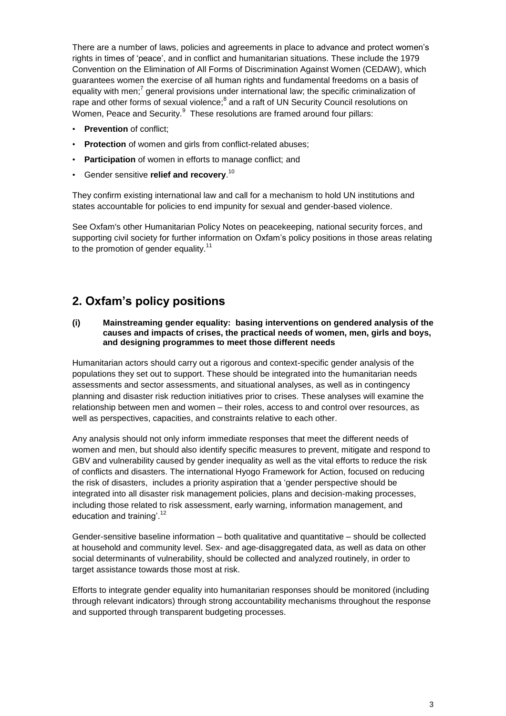There are a number of laws, policies and agreements in place to advance and protect women's rights in times of 'peace', and in conflict and humanitarian situations. These include the 1979 Convention on the Elimination of All Forms of Discrimination Against Women (CEDAW), which guarantees women the exercise of all human rights and fundamental freedoms on a basis of equality with men;<sup>7</sup> general provisions under international law; the specific criminalization of rape and other forms of sexual violence;<sup>8</sup> and a raft of UN Security Council resolutions on Women, Peace and Security.<sup>9</sup> These resolutions are framed around four pillars:

- **Prevention** of conflict;
- **Protection** of women and girls from conflict-related abuses;
- **Participation** of women in efforts to manage conflict; and
- Gender sensitive **relief and recovery**. 10

They confirm existing international law and call for a mechanism to hold UN institutions and states accountable for policies to end impunity for sexual and gender-based violence.

See Oxfam's other Humanitarian Policy Notes on peacekeeping, national security forces, and supporting civil society for further information on Oxfam's policy positions in those areas relating to the promotion of gender equality. $11$ 

## **2. Oxfam's policy positions**

#### **(i) Mainstreaming gender equality: basing interventions on gendered analysis of the causes and impacts of crises, the practical needs of women, men, girls and boys, and designing programmes to meet those different needs**

Humanitarian actors should carry out a rigorous and context-specific gender analysis of the populations they set out to support. These should be integrated into the humanitarian needs assessments and sector assessments, and situational analyses, as well as in contingency planning and disaster risk reduction initiatives prior to crises. These analyses will examine the relationship between men and women – their roles, access to and control over resources, as well as perspectives, capacities, and constraints relative to each other.

Any analysis should not only inform immediate responses that meet the different needs of women and men, but should also identify specific measures to prevent, mitigate and respond to GBV and vulnerability caused by gender inequality as well as the vital efforts to reduce the risk of conflicts and disasters. The international Hyogo Framework for Action, focused on reducing the risk of disasters, includes a priority aspiration that a 'gender perspective should be integrated into all disaster risk management policies, plans and decision-making processes, including those related to risk assessment, early warning, information management, and education and training'.<sup>12</sup>

Gender-sensitive baseline information – both qualitative and quantitative – should be collected at household and community level. Sex- and age-disaggregated data, as well as data on other social determinants of vulnerability, should be collected and analyzed routinely, in order to target assistance towards those most at risk.

Efforts to integrate gender equality into humanitarian responses should be monitored (including through relevant indicators) through strong accountability mechanisms throughout the response and supported through transparent budgeting processes.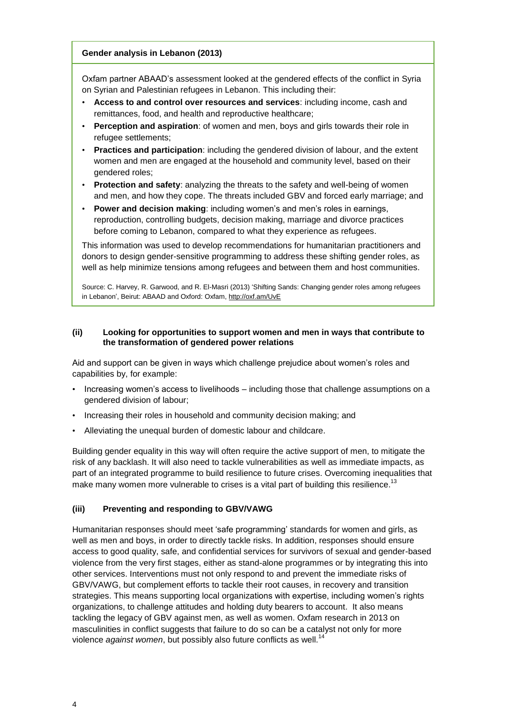#### **Gender analysis in Lebanon (2013)**

Oxfam partner ABAAD's assessment looked at the gendered effects of the conflict in Syria on Syrian and Palestinian refugees in Lebanon. This including their:

- **Access to and control over resources and services**: including income, cash and remittances, food, and health and reproductive healthcare;
- **Perception and aspiration**: of women and men, boys and girls towards their role in refugee settlements;
- **Practices and participation**: including the gendered division of labour, and the extent women and men are engaged at the household and community level, based on their gendered roles;
- **Protection and safety**: analyzing the threats to the safety and well-being of women and men, and how they cope. The threats included GBV and forced early marriage; and
- **Power and decision making**: including women's and men's roles in earnings, reproduction, controlling budgets, decision making, marriage and divorce practices before coming to Lebanon, compared to what they experience as refugees.

This information was used to develop recommendations for humanitarian practitioners and donors to design gender-sensitive programming to address these shifting gender roles, as well as help minimize tensions among refugees and between them and host communities.

Source: C. Harvey, R. Garwood, and R. El-Masri (2013) 'Shifting Sands: Changing gender roles among refugees in Lebanon', Beirut: ABAAD and Oxford: Oxfam,<http://oxf.am/UvE>

#### **(ii) Looking for opportunities to support women and men in ways that contribute to the transformation of gendered power relations**

Aid and support can be given in ways which challenge prejudice about women's roles and capabilities by, for example:

- Increasing women's access to livelihoods including those that challenge assumptions on a gendered division of labour;
- Increasing their roles in household and community decision making; and
- Alleviating the unequal burden of domestic labour and childcare.

Building gender equality in this way will often require the active support of men, to mitigate the risk of any backlash. It will also need to tackle vulnerabilities as well as immediate impacts, as part of an integrated programme to build resilience to future crises. Overcoming inequalities that make many women more vulnerable to crises is a vital part of building this resilience.<sup>13</sup>

#### **(iii) Preventing and responding to GBV/VAWG**

Humanitarian responses should meet 'safe programming' standards for women and girls, as well as men and boys, in order to directly tackle risks. In addition, responses should ensure access to good quality, safe, and confidential services for survivors of sexual and gender-based violence from the very first stages, either as stand-alone programmes or by integrating this into other services. Interventions must not only respond to and prevent the immediate risks of GBV/VAWG, but complement efforts to tackle their root causes, in recovery and transition strategies. This means supporting local organizations with expertise, including women's rights organizations, to challenge attitudes and holding duty bearers to account. It also means tackling the legacy of GBV against men, as well as women. Oxfam research in 2013 on masculinities in conflict suggests that failure to do so can be a catalyst not only for more violence *against women*, but possibly also future conflicts as well.<sup>14</sup>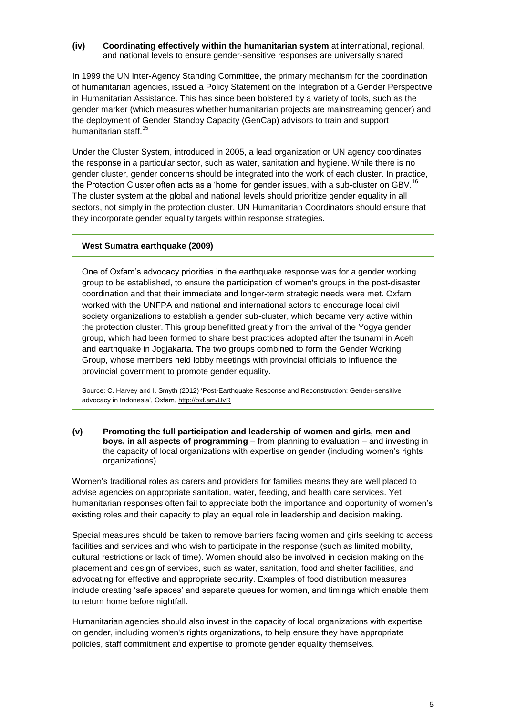#### **(iv) Coordinating effectively within the humanitarian system** at international, regional, and national levels to ensure gender-sensitive responses are universally shared

In 1999 the UN Inter-Agency Standing Committee, the primary mechanism for the coordination of humanitarian agencies, issued a Policy Statement on the Integration of a Gender Perspective in Humanitarian Assistance. This has since been bolstered by a variety of tools, such as the gender marker (which measures whether humanitarian projects are mainstreaming gender) and the deployment of Gender Standby Capacity (GenCap) advisors to train and support humanitarian staff.<sup>15</sup>

Under the Cluster System, introduced in 2005, a lead organization or UN agency coordinates the response in a particular sector, such as water, sanitation and hygiene. While there is no gender cluster, gender concerns should be integrated into the work of each cluster. In practice, the Protection Cluster often acts as a 'home' for gender issues, with a sub-cluster on GBV.<sup>16</sup> The cluster system at the global and national levels should prioritize gender equality in all sectors, not simply in the protection cluster. UN Humanitarian Coordinators should ensure that they incorporate gender equality targets within response strategies.

#### **West Sumatra earthquake (2009)**

One of Oxfam's advocacy priorities in the earthquake response was for a gender working group to be established, to ensure the participation of women's groups in the post-disaster coordination and that their immediate and longer-term strategic needs were met. Oxfam worked with the UNFPA and national and international actors to encourage local civil society organizations to establish a gender sub-cluster, which became very active within the protection cluster. This group benefitted greatly from the arrival of the Yogya gender group, which had been formed to share best practices adopted after the tsunami in Aceh and earthquake in Jogjakarta. The two groups combined to form the Gender Working Group, whose members held lobby meetings with provincial officials to influence the provincial government to promote gender equality.

Source: C. Harvey and I. Smyth (2012) 'Post-Earthquake Response and Reconstruction: Gender-sensitive advocacy in Indonesia', Oxfam, <http://oxf.am/UvR>

**(v) Promoting the full participation and leadership of women and girls, men and boys, in all aspects of programming** – from planning to evaluation – and investing in the capacity of local organizations with expertise on gender (including women's rights organizations)

Women's traditional roles as carers and providers for families means they are well placed to advise agencies on appropriate sanitation, water, feeding, and health care services. Yet humanitarian responses often fail to appreciate both the importance and opportunity of women's existing roles and their capacity to play an equal role in leadership and decision making.

Special measures should be taken to remove barriers facing women and girls seeking to access facilities and services and who wish to participate in the response (such as limited mobility, cultural restrictions or lack of time). Women should also be involved in decision making on the placement and design of services, such as water, sanitation, food and shelter facilities, and advocating for effective and appropriate security. Examples of food distribution measures include creating 'safe spaces' and separate queues for women, and timings which enable them to return home before nightfall.

Humanitarian agencies should also invest in the capacity of local organizations with expertise on gender, including women's rights organizations, to help ensure they have appropriate policies, staff commitment and expertise to promote gender equality themselves.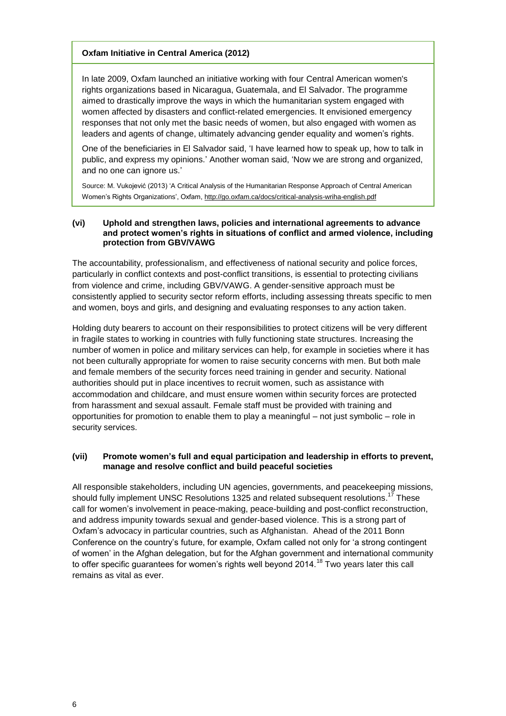#### **Oxfam Initiative in Central America (2012)**

In late 2009, Oxfam launched an initiative working with four Central American women's rights organizations based in Nicaragua, Guatemala, and El Salvador. The programme aimed to drastically improve the ways in which the humanitarian system engaged with women affected by disasters and conflict-related emergencies. It envisioned emergency responses that not only met the basic needs of women, but also engaged with women as leaders and agents of change, ultimately advancing gender equality and women's rights.

One of the beneficiaries in El Salvador said, 'I have learned how to speak up, how to talk in public, and express my opinions.' Another woman said, 'Now we are strong and organized, and no one can ignore us.'

Source: M. Vukojević (2013) 'A Critical Analysis of the Humanitarian Response Approach of Central American Women's Rights Organizations', Oxfam[, http://go.oxfam.ca/docs/critical-analysis-wriha-english.pdf](http://go.oxfam.ca/docs/critical-analysis-wriha-english.pdf)

#### **(vi) Uphold and strengthen laws, policies and international agreements to advance and protect women's rights in situations of conflict and armed violence, including protection from GBV/VAWG**

The accountability, professionalism, and effectiveness of national security and police forces, particularly in conflict contexts and post-conflict transitions, is essential to protecting civilians from violence and crime, including GBV/VAWG. A gender-sensitive approach must be consistently applied to security sector reform efforts, including assessing threats specific to men and women, boys and girls, and designing and evaluating responses to any action taken.

Holding duty bearers to account on their responsibilities to protect citizens will be very different in fragile states to working in countries with fully functioning state structures. Increasing the number of women in police and military services can help, for example in societies where it has not been culturally appropriate for women to raise security concerns with men. But both male and female members of the security forces need training in gender and security. National authorities should put in place incentives to recruit women, such as assistance with accommodation and childcare, and must ensure women within security forces are protected from harassment and sexual assault. Female staff must be provided with training and opportunities for promotion to enable them to play a meaningful – not just symbolic – role in security services.

#### **(vii) Promote women's full and equal participation and leadership in efforts to prevent, manage and resolve conflict and build peaceful societies**

All responsible stakeholders, including UN agencies, governments, and peacekeeping missions, should fully implement UNSC Resolutions 1325 and related subsequent resolutions.<sup>17</sup> These call for women's involvement in peace-making, peace-building and post-conflict reconstruction, and address impunity towards sexual and gender-based violence. This is a strong part of Oxfam's advocacy in particular countries, such as Afghanistan. Ahead of the 2011 Bonn Conference on the country's future, for example, Oxfam called not only for 'a strong contingent of women' in the Afghan delegation, but for the Afghan government and international community to offer specific quarantees for women's rights well beyond 2014.<sup>18</sup> Two years later this call remains as vital as ever.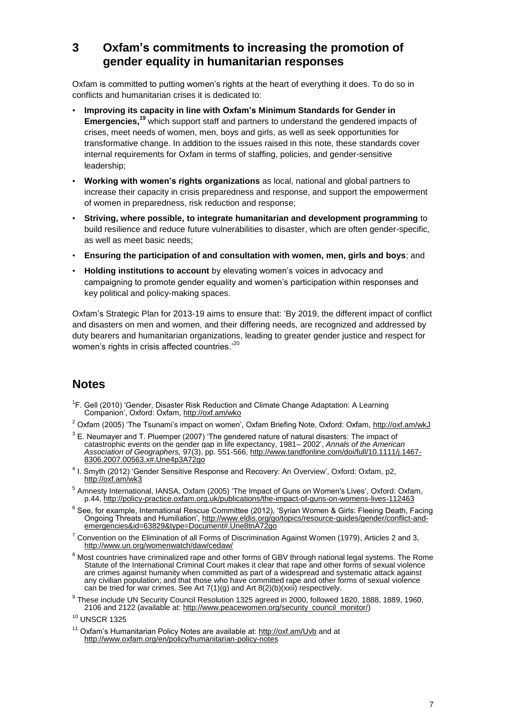## **3 Oxfam's commitments to increasing the promotion of gender equality in humanitarian responses**

Oxfam is committed to putting women's rights at the heart of everything it does. To do so in conflicts and humanitarian crises it is dedicated to:

- **Improving its capacity in line with Oxfam's Minimum Standards for Gender in Emergencies, <sup>19</sup>** which support staff and partners to understand the gendered impacts of crises, meet needs of women, men, boys and girls, as well as seek opportunities for transformative change. In addition to the issues raised in this note, these standards cover internal requirements for Oxfam in terms of staffing, policies, and gender-sensitive leadership;
- **Working with women's rights organizations** as local, national and global partners to increase their capacity in crisis preparedness and response, and support the empowerment of women in preparedness, risk reduction and response;
- **Striving, where possible, to integrate humanitarian and development programming** to build resilience and reduce future vulnerabilities to disaster, which are often gender-specific, as well as meet basic needs;
- **Ensuring the participation of and consultation with women, men, girls and boys**; and
- **Holding institutions to account** by elevating women's voices in advocacy and campaigning to promote gender equality and women's participation within responses and key political and policy-making spaces.

Oxfam's Strategic Plan for 2013-19 aims to ensure that: 'By 2019, the different impact of conflict and disasters on men and women, and their differing needs, are recognized and addressed by duty bearers and humanitarian organizations, leading to greater gender justice and respect for women's rights in crisis affected countries.<sup>20</sup>

## **Notes**

- <sup>1</sup>F. Gell (2010) 'Gender, Disaster Risk Reduction and Climate Change Adaptation: A Learning Companion', Oxford: Oxfam,<http://oxf.am/wko>
- <sup>2</sup> Oxfam (2005) 'The Tsunami's impact on women', Oxfam Briefing Note, Oxford: Oxfam,<http://oxf.am/wkJ>
- $3$  E. Neumayer and T. Pluemper (2007) 'The gendered nature of natural disasters: The impact of catastrophic events on the gender gap in life expectancy, 1981– 2002', *Annals of the American Association of Geographers,* 97(3), pp. 551-566, [http://www.tandfonline.com/doi/full/10.1111/j.1467-](http://www.tandfonline.com/doi/full/10.1111/j.1467-8306.2007.00563.x#.Une4p3A72go) [8306.2007.00563.x#.Une4p3A72go](http://www.tandfonline.com/doi/full/10.1111/j.1467-8306.2007.00563.x#.Une4p3A72go)
- <sup>4</sup> I. Smyth (2012) 'Gender Sensitive Response and Recovery: An Overview', Oxford: Oxfam, p2, <http://oxf.am/wk3>
- <sup>5</sup> Amnesty International, IANSA, Oxfam (2005) 'The Impact of Guns on Women's Lives', Oxford: Oxfam, p.44,<http://policy-practice.oxfam.org.uk/publications/the-impact-of-guns-on-womens-lives-112463>
- <sup>6</sup> See, for example, International Rescue Committee (2012), 'Syrian Women & Girls: Fleeing Death, Facing Ongoing Threats and Humiliation', [http://www.eldis.org/go/topics/resource-guides/gender/conflict-and](http://www.eldis.org/go/topics/resource-guides/gender/conflict-and-emergencies&id=63829&type=Document#.Une8tnA72go)[emergencies&id=63829&type=Document#.Une8tnA72go](http://www.eldis.org/go/topics/resource-guides/gender/conflict-and-emergencies&id=63829&type=Document#.Une8tnA72go)
- $7$  Convention on the Elimination of all Forms of Discrimination Against Women (1979), Articles 2 and 3, <http://www.un.org/womenwatch/daw/cedaw/>
- $8$  Most countries have criminalized rape and other forms of GBV through national legal systems. The Rome Statute of the International Criminal Court makes it clear that rape and other forms of sexual violence are crimes against humanity when committed as part of a widespread and systematic attack against any civilian population; and that those who have committed rape and other forms of sexual violence can be tried for war crimes. See Art 7(1)(g) and Art 8(2)(b)(xxii) respectively.
- <sup>9</sup> These include UN Security Council Resolution 1325 agreed in 2000, followed 1820, 1888, 1889, 1960, 2106 and 2122 (available at: [http://www.peacewomen.org/security\\_council\\_monitor/\)](http://www.peacewomen.org/security_council_monitor/)
- <sup>10</sup> UNSCR 1325
- <sup>11</sup> Oxfam's Humanitarian Policy Notes are available at: <http://oxf.am/Uvb> and at <http://www.oxfam.org/en/policy/humanitarian-policy-notes>